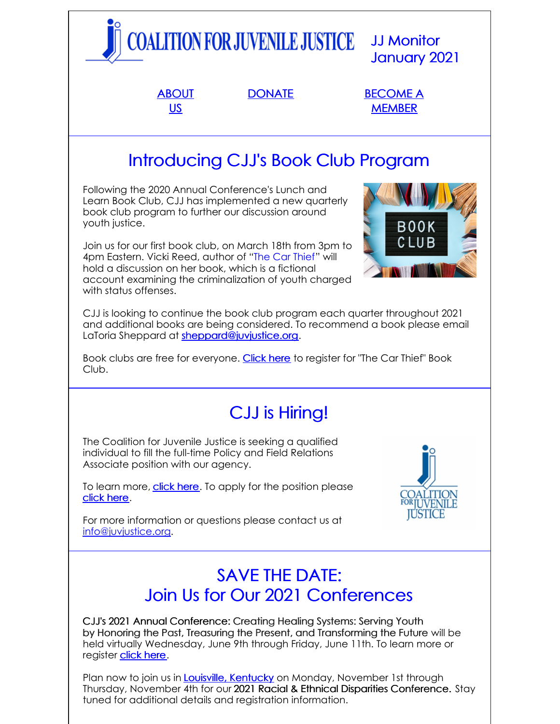

Plan now to join us in **Louisville, [Kentucky](https://www.omnihotels.com/hotels/louisville)** on Monday, November 1st through Thursday, November 4th for our 2021 Racial & Ethnical Disparities Conference. Stay tuned for additional details and registration information.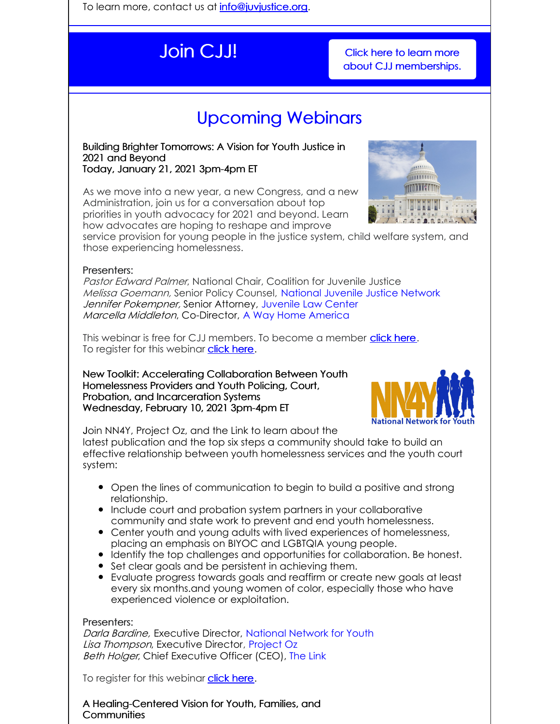To learn more, contact us at **[info@juvjustice.org](mailto:info@juvjustice.org)**.

**Join CJJ!** Click here to learn more about CJJ [memberships.](http://juvjustice.org/about-us/members)

# Upcoming Webinars

Building Brighter Tomorrows: A Vision for Youth Justice in 2021 and Beyond Today, January 21, 2021 3pm-4pm ET

As we move into a new year, a new Congress, and a new Administration, join us for a conversation about top priorities in youth advocacy for 2021 and beyond. Learn how advocates are hoping to reshape and improve



service provision for young people in the justice system, child welfare system, and those experiencing homelessness.

### Presenters:

Pastor Edward Palmer, National Chair, Coalition for Juvenile Justice Melissa Goemann, Senior Policy Counsel, [National](https://www.njjn.org/) Juvenile Justice Network Jennifer Pokempner, Senior Attorney, [Juvenile](https://jlc.org/) Law Center Marcella Middleton, Co-Director, A Way Home [America](https://awayhomeamerica.org/)

This webinar is free for CJJ members. To become a member [click](http://www.juvjustice.org/civicrm/contribute/transact?reset=1&id=2) here. To register for this webinar [click](https://attendee.gotowebinar.com/register/6891395147166012175) here.

New Toolkit: Accelerating Collaboration Between Youth Homelessness Providers and Youth Policing, Court, Probation, and Incarceration Systems Wednesday, February 10, 2021 3pm-4pm ET



Join NN4Y, Project Oz, and the Link to learn about the

latest publication and the top six steps a community should take to build an effective relationship between youth homelessness services and the youth court system:

- Open the lines of communication to begin to build a positive and strong relationship.
- Include court and probation system partners in your collaborative community and state work to prevent and end youth homelessness.
- Center youth and young adults with lived experiences of homelessness, placing an emphasis on BIYOC and LGBTQIA young people.
- Identify the top challenges and opportunities for collaboration. Be honest.
- Set clear goals and be persistent in achieving them.
- Evaluate progress towards goals and reaffirm or create new goals at least every six months.and young women of color, especially those who have experienced violence or exploitation.

#### Presenters:

Darla Bardine, Executive Director[,](https://nn4youth.org/) [National](https://nn4youth.org/) Network for Youth Lisa Thompson, Executive Director, [Project](http://projectoz.org/) Oz Beth Holger, Chief Executive Officer (CEO), The [Link](https://thelinkmn.org/)

To register for this webinar **[click](https://attendee.gotowebinar.com/register/8078880900002869004) here**.

A Healing-Centered Vision for Youth, Families, and **Communities**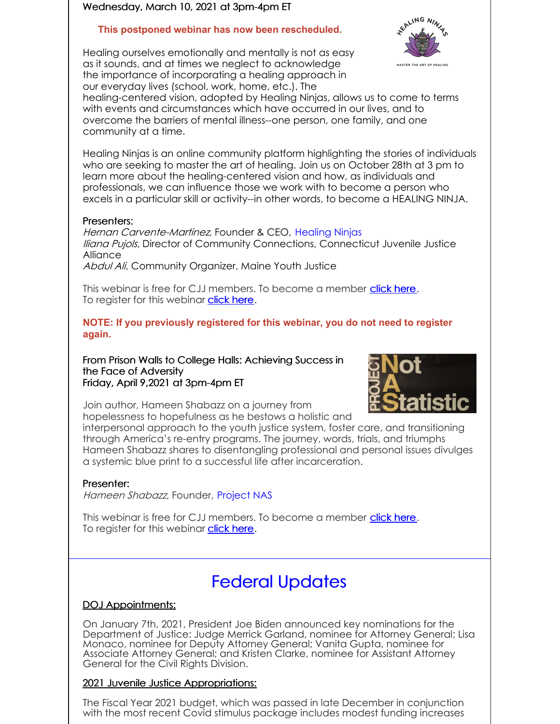#### Wednesday, March 10, 2021 at 3pm-4pm ET

### **This postponed webinar has now been rescheduled.**

Healing ourselves emotionally and mentally is not as easy as it sounds, and at times we neglect to acknowledge the importance of incorporating a healing approach in our everyday lives (school, work, home, etc.). The



healing-centered vision, adopted by Healing Ninjas, allows us to come to terms with events and circumstances which have occurred in our lives, and to overcome the barriers of mental illness--one person, one family, and one community at a time.

Healing Ninjas is an online community platform highlighting the stories of individuals who are seeking to master the art of healing. Join us on October 28th at 3 pm to learn more about the healing-centered vision and how, as individuals and professionals, we can influence those we work with to become a person who excels in a particular skill or activity--in other words, to become a HEALING NINJA.

#### Presenters:

Hernan Carvente-Martinez, Founder & CEO, [Healing](https://www.healingninjas.org/) Ninjas *Iliana Pujols, Director of Community Connections, Connecticut Juvenile Justice* **Alliance** 

Abdul Ali, Community Organizer, Maine Youth Justice

This webinar is free for CJJ members. To become a member [click](http://www.juvjustice.org/civicrm/contribute/transact?reset=1&id=2) here. To register for this webinar **[click](https://attendee.gotowebinar.com/register/6046871261264893198) here**.

**NOTE: If you previously registered for this webinar, you do not need to register again.**

From Prison Walls to College Halls: Achieving Success in the Face of Adversity Friday, April 9,2021 at 3pm-4pm ET



Join author, Hameen Shabazz on a journey from hopelessness to hopefulness as he bestows a holistic and

interpersonal approach to the youth justice system, foster care, and transitioning through America's re-entry programs. The journey, words, trials, and triumphs Hameen Shabazz shares to disentangling professional and personal issues divulges a systemic blue print to a successful life after incarceration.

#### Presenter:

Hameen Shabazz, Founder, [Project](https://dare2live.life/) NAS

This webinar is free for CJJ members. To become a member [click](http://www.juvjustice.org/civicrm/contribute/transact?reset=1&id=2) here. To register for this webinar **[click](https://attendee.gotowebinar.com/register/6171551482231338511) here.** 

# Federal Updates

### DOJ Appointments:

On January 7th, 2021, President Joe Biden announced key nominations for the Department of Justice: Judge Merrick Garland, nominee for Attorney General; Lisa Monaco, nominee for Deputy Attorney General; Vanita Gupta, nominee for Associate Attorney General; and Kristen Clarke, nominee for Assistant Attorney General for the Civil Rights Division.

### 2021 Juvenile Justice Appropriations:

The Fiscal Year 2021 budget, which was passed in late December in conjunction with the most recent Covid stimulus package includes modest funding increases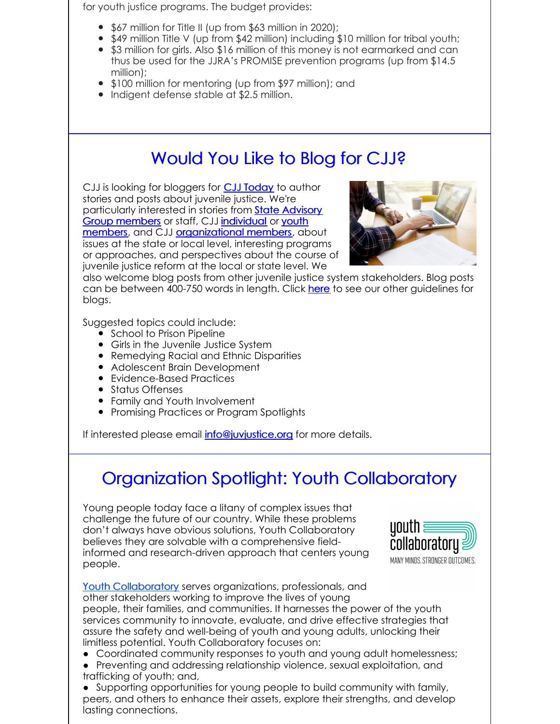for youth justice programs. The budget provides:

- \$67 million for Title II (up from \$63 million in 2020);
- $\bullet$  \$49 million Title V (up from \$42 million) including \$10 million for tribal youth;
- \$3 million for girls. Also \$16 million of this money is not earmarked and can thus be used for the JJRA's PROMISE prevention programs (up from \$14.5 million);
- \$100 million for mentoring (up from \$97 million); and
- Indigent defense stable at \$2.5 million.

# Would You Like to Blog for CJJ?

CJJ is looking for bloggers for **CJJ [Today](http://www.juvjustice.org/blog)** to author stories and posts about juvenile justice. We're [particularly](http://www.juvjustice.org/about-us/state-advisory-group-members) interested in stories from **State Advisory** Group members or staff, CJJ [individual](http://juvjustice.org/about-us/members/individual-memberships) or youth members, and CJJ [organizational](http://juvjustice.org/youth-members) members, about issues at the state or local level, interesting programs or approaches, and perspectives about the course of juvenile justice reform at the local or state level. We



also welcome blog posts from other juvenile justice system stakeholders. Blog posts can be between 400-750 words in length. Click [here](http://files.constantcontact.com/31e4a892301/ae2fa24f-a0c7-4002-a04b-2d9a65ad104a.pdf) to see our other guidelines for blogs.

Suggested topics could include:

- School to Prison Pipeline
- Girls in the Juvenile Justice System
- Remedying Racial and Ethnic Disparities
- Adolescent Brain Development
- Evidence-Based Practices
- **•** Status Offenses
- Family and Youth Involvement
- Promising Practices or Program Spotlights

If interested please email *[info@juvjustice.org](mailto:info@juvjustice.org)* for more details.

# Organization Spotlight: Youth Collaboratory

Young people today face a litany of complex issues that challenge the future of our country. While these problems don't always have obvious solutions, Youth Collaboratory believes they are solvable with a comprehensive fieldinformed and research-driven approach that centers young people.



Youth [Collaboratory](http://www.youthcollaboratory.org/) serves organizations, professionals, and other stakeholders working to improve the lives of young people, their families, and communities. It harnesses the power of the youth services community to innovate, evaluate, and drive effective strategies that assure the safety and well-being of youth and young adults, unlocking their limitless potential. Youth Collaboratory focuses on:

- Coordinated community responses to youth and young adult homelessness;
- Preventing and addressing relationship violence, sexual exploitation, and trafficking of youth; and,

● Supporting opportunities for young people to build community with family, peers, and others to enhance their assets, explore their strengths, and develop lasting connections.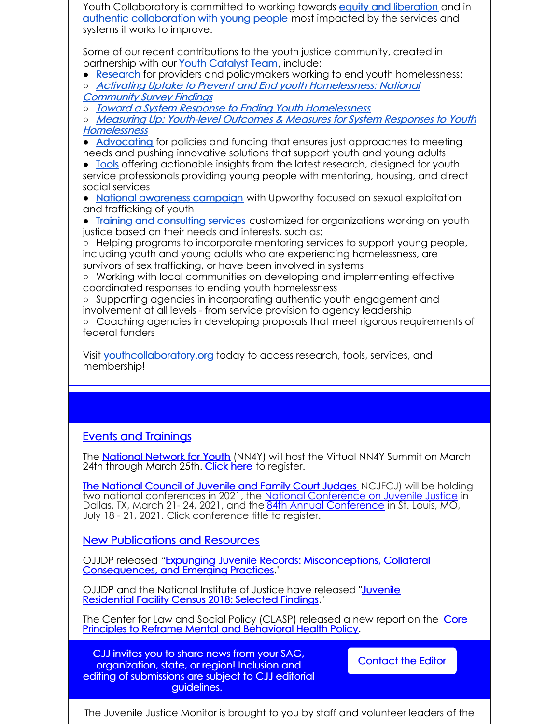Youth Collaboratory is committed to working towards equity and [liberation](https://www.youthcollaboratory.org/equity-and-liberation) and in authentic [collaboration](https://www.youthcollaboratory.org/authentic-youth-collaboration) with young people most impacted by the services and systems it works to improve.

Some of our recent contributions to the youth justice community, created in partnership with our Youth [Catalyst](https://www.youthcollaboratory.org/youth-catalyst-team) Team, include:

• [Research](https://www.youthcollaboratory.org/our-work/initiatives/building-base-evidence) for providers and policymakers working to end youth homelessness:

○ Activating Uptake to Prevent and End youth Homelessness: National [Community](https://www.youthcollaboratory.org/activating-uptake) Survey Findings

○ Toward <sup>a</sup> System Response to Ending Youth [Homelessness](https://www.youthcollaboratory.org/smarter-coordinated-entry)

○ Measuring Up: Youth-level Outcomes & Measures for System Responses to Youth **[Homelessness](https://www.youthcollaboratory.org/youth-outcomes-project-release)** 

● [Advocating](https://www.youthcollaboratory.org/our-work/initiatives/policy-advocacy) for policies and funding that ensures just approaches to meeting needs and pushing innovative solutions that support youth and young adults

• [Tools](https://www.youthcollaboratory.org/resources/toolkits) offering actionable insights from the latest research, designed for youth service professionals providing young people with mentoring, housing, and direct social services

• National [awareness](https://www.youthcollaboratory.org/raising-awareness-sex-trafficking-youth-us-upworthy-collaboration) campaign with Upworthy focused on sexual exploitation and trafficking of youth

• Training and [consulting](https://www.youthcollaboratory.org/services) services customized for organizations working on youth justice based on their needs and interests, such as:

○ Helping programs to incorporate mentoring services to support young people, including youth and young adults who are experiencing homelessness, are survivors of sex trafficking, or have been involved in systems

○ Working with local communities on developing and implementing effective coordinated responses to ending youth homelessness

○ Supporting agencies in incorporating authentic youth engagement and involvement at all levels - from service provision to agency leadership

○ Coaching agencies in developing proposals that meet rigorous requirements of federal funders

Visit [youthcollaboratory.org](http://www.youthcollaboratory.org/) today to access research, tools, services, and membership!

### Events and Trainings

The **[National](https://nn4youth.org/events/2021-summit/) Network for Youth** (NN4Y) will host the Virtual NN4Y Summit on March 24th through March 25th. [Click](https://www.eventsquid.com/contestant-reg.cfm?event_id=11698) here to register.

The [National](https://www.ncjfcj.org/) Council of Juvenile and Family Court Judges NCJFCJ) will be holding two national conferences in 2021, the National [Conference](https://www.ncjfcj.org/events/2021-national-conference-on-juvenile-justice/) on Juvenile Justice in Dallas, TX, March 21-24, 2021, and the 84th Annual [Conference](https://www.ncjfcj.org/events/84th-annual-conference/) in St. Louis, MO, July 18 - 21, 2021. Click conference title to register.

New Publications and Resources

OJJDP released "Expunging Juvenile Records: [Misconceptions,](https://ojjdp.ojp.gov/publications/expunging-juvenile-records.pdf) Collateral Consequences, and Emerging Practices.

OJJDP and the National Institute of Justice have released "Juvenile" [Residential](https://ojjdp.ojp.gov/publications/jrfc-2018-selected-findings.pdf) Facility Census 2018: Selected Findings."

The Center for Law and Social Policy (CLASP) released a new report on the Core Principles to Reframe Mental and [Behavioral](https://www.clasp.org/publications/report/brief/core-principles-reframe-mental-and-behavioral-health-policy?emci=bdfd12e2-2354-eb11-a607-00155d43c992&emdi=d08bf576-e754-eb11-a607-00155d43c992&ceid=2837335) Health Policy.

CJJ invites you to share news from your SAG, organization, state, or region! Inclusion and editing of submissions are subject to CJJ editorial guidelines.

[Contact](mailto:info@juvjustice.org) the Editor

The Juvenile Justice Monitor is brought to you by staff and volunteer leaders of the